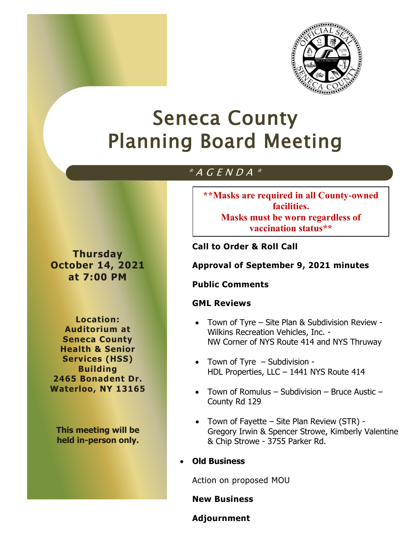

# Seneca County Planning Board Meeting

# $*$  A G E N D A  $*$

**Thursday October 14, 2021 at 7:00 PM**

**Location: Auditorium at Seneca County Health & Senior Services (HSS) Building 2465 Bonadent Dr. Waterloo, NY 13165**

**This meeting will be held in-person only.** **\*\*Masks are required in all County-owned facilities. Masks must be worn regardless of vaccination status\*\***

**Call to Order & Roll Call**

**Approval of September 9, 2021 minutes**

# **Public Comments**

# **GML Reviews**

- Town of Tyre Site Plan & Subdivision Review Wilkins Recreation Vehicles, Inc. - NW Corner of NYS Route 414 and NYS Thruway
- Town of Tyre Subdivision -HDL Properties, LLC – 1441 NYS Route 414
- Town of Romulus Subdivision Bruce Austic County Rd 129
- Town of Fayette Site Plan Review (STR) Gregory Irwin & Spencer Strowe, Kimberly Valentine & Chip Strowe - 3755 Parker Rd.
- **Old Business**

Action on proposed MOU

**New Business**

**Adjournment**